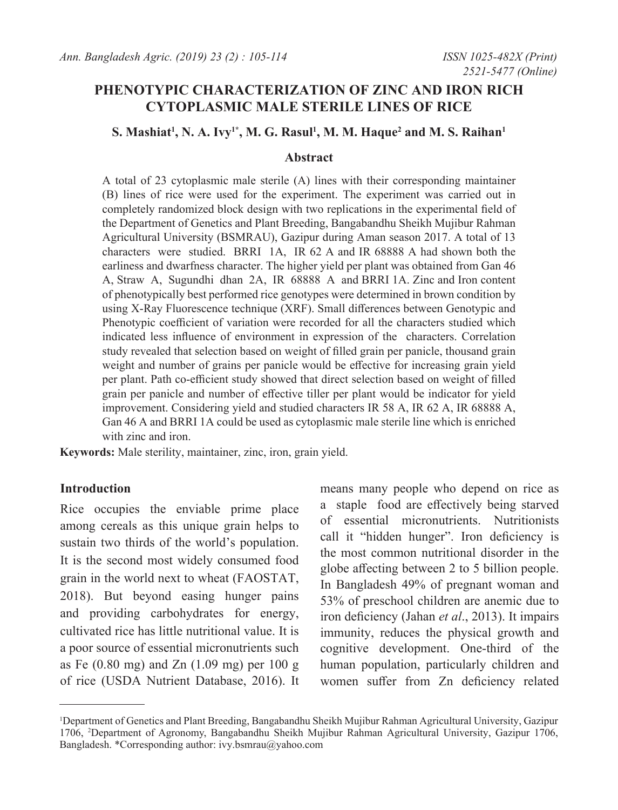# **PHENOTYPIC CHARACTERIZATION OF ZINC AND IRON RICH CYTOPLASMIC MALE STERILE LINES OF RICE**

## $\mathbf{S}.$  Mashiat<sup>1</sup>, N. A. Ivy<sup>1\*</sup>, M. G. Rasul<sup>1</sup>, M. M. Haque<sup>2</sup> and M. S. Raihan<sup>1</sup>

#### **Abstract**

A total of 23 cytoplasmic male sterile (A) lines with their corresponding maintainer (B) lines of rice were used for the experiment. The experiment was carried out in completely randomized block design with two replications in the experimental field of the Department of Genetics and Plant Breeding, Bangabandhu Sheikh Mujibur Rahman Agricultural University (BSMRAU), Gazipur during Aman season 2017. A total of 13 characters were studied. BRRI 1A, IR 62 A and IR 68888 A had shown both the earliness and dwarfness character. The higher yield per plant was obtained from Gan 46 A, Straw A, Sugundhi dhan 2A, IR 68888 A and BRRI 1A. Zinc and Iron content of phenotypically best performed rice genotypes were determined in brown condition by using X-Ray Fluorescence technique (XRF). Small differences between Genotypic and Phenotypic coefficient of variation were recorded for all the characters studied which indicated less influence of environment in expression of the characters. Correlation study revealed that selection based on weight of filled grain per panicle, thousand grain weight and number of grains per panicle would be effective for increasing grain yield per plant. Path co-efficient study showed that direct selection based on weight of filled grain per panicle and number of effective tiller per plant would be indicator for yield improvement. Considering yield and studied characters IR 58 A, IR 62 A, IR 68888 A, Gan 46 A and BRRI 1A could be used as cytoplasmic male sterile line which is enriched with zinc and iron.

**Keywords:** Male sterility, maintainer, zinc, iron, grain yield.

#### **Introduction**

Rice occupies the enviable prime place among cereals as this unique grain helps to sustain two thirds of the world's population. It is the second most widely consumed food grain in the world next to wheat (FAOSTAT, 2018). But beyond easing hunger pains and providing carbohydrates for energy, cultivated rice has little nutritional value. It is a poor source of essential micronutrients such as Fe (0.80 mg) and Zn (1.09 mg) per 100 g of rice (USDA Nutrient Database, 2016). It

means many people who depend on rice as a staple food are effectively being starved of essential micronutrients. Nutritionists call it "hidden hunger". Iron deficiency is the most common nutritional disorder in the globe affecting between 2 to 5 billion people. In Bangladesh 49% of pregnant woman and 53% of preschool children are anemic due to iron deficiency (Jahan *et al*., 2013). It impairs immunity, reduces the physical growth and cognitive development. One-third of the human population, particularly children and women suffer from Zn deficiency related

<sup>1</sup> Department of Genetics and Plant Breeding, Bangabandhu Sheikh Mujibur Rahman Agricultural University, Gazipur 1706, 2 Department of Agronomy, Bangabandhu Sheikh Mujibur Rahman Agricultural University, Gazipur 1706, Bangladesh. \*Corresponding author: ivy.bsmrau@yahoo.com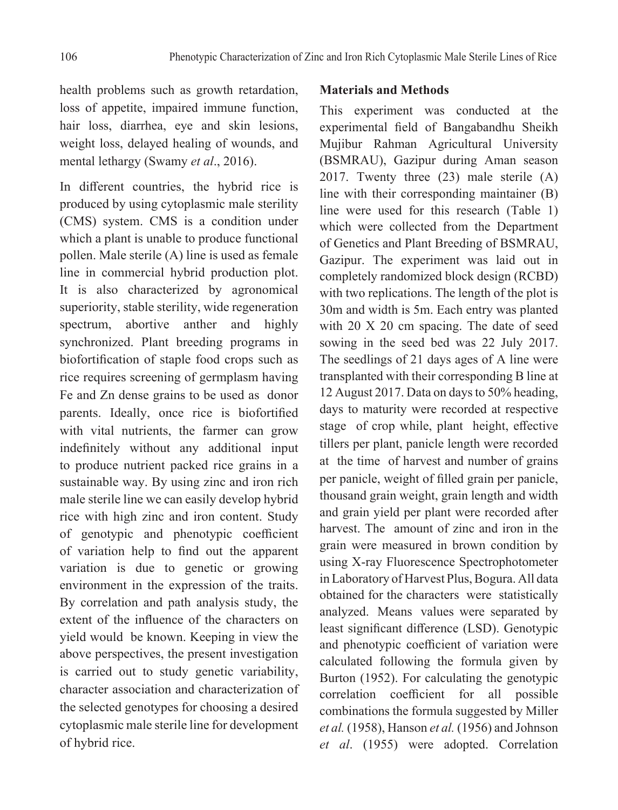health problems such as growth retardation, loss of appetite, impaired immune function, hair loss, diarrhea, eye and skin lesions, weight loss, delayed healing of wounds, and mental lethargy (Swamy *et al*., 2016).

In different countries, the hybrid rice is produced by using cytoplasmic male sterility (CMS) system. CMS is a condition under which a plant is unable to produce functional pollen. Male sterile (A) line is used as female line in commercial hybrid production plot. It is also characterized by agronomical superiority, stable sterility, wide regeneration spectrum, abortive anther and highly synchronized. Plant breeding programs in biofortification of staple food crops such as rice requires screening of germplasm having Fe and Zn dense grains to be used as donor parents. Ideally, once rice is biofortified with vital nutrients, the farmer can grow indefinitely without any additional input to produce nutrient packed rice grains in a sustainable way. By using zinc and iron rich male sterile line we can easily develop hybrid rice with high zinc and iron content. Study of genotypic and phenotypic coefficient of variation help to find out the apparent variation is due to genetic or growing environment in the expression of the traits. By correlation and path analysis study, the extent of the influence of the characters on yield would be known. Keeping in view the above perspectives, the present investigation is carried out to study genetic variability, character association and characterization of the selected genotypes for choosing a desired cytoplasmic male sterile line for development of hybrid rice.

## **Materials and Methods**

This experiment was conducted at the experimental field of Bangabandhu Sheikh Mujibur Rahman Agricultural University (BSMRAU), Gazipur during Aman season 2017. Twenty three (23) male sterile (A) line with their corresponding maintainer (B) line were used for this research (Table 1) which were collected from the Department of Genetics and Plant Breeding of BSMRAU, Gazipur. The experiment was laid out in completely randomized block design (RCBD) with two replications. The length of the plot is 30m and width is 5m. Each entry was planted with 20 X 20 cm spacing. The date of seed sowing in the seed bed was 22 July 2017. The seedlings of 21 days ages of A line were transplanted with their corresponding B line at 12 August 2017. Data on days to 50% heading, days to maturity were recorded at respective stage of crop while, plant height, effective tillers per plant, panicle length were recorded at the time of harvest and number of grains per panicle, weight of filled grain per panicle, thousand grain weight, grain length and width and grain yield per plant were recorded after harvest. The amount of zinc and iron in the grain were measured in brown condition by using X-ray Fluorescence Spectrophotometer in Laboratory of Harvest Plus, Bogura. All data obtained for the characters were statistically analyzed. Means values were separated by least significant difference (LSD). Genotypic and phenotypic coefficient of variation were calculated following the formula given by Burton (1952). For calculating the genotypic correlation coefficient for all possible combinations the formula suggested by Miller *et al.* (1958), Hanson *et al.* (1956) and Johnson *et al*. (1955) were adopted. Correlation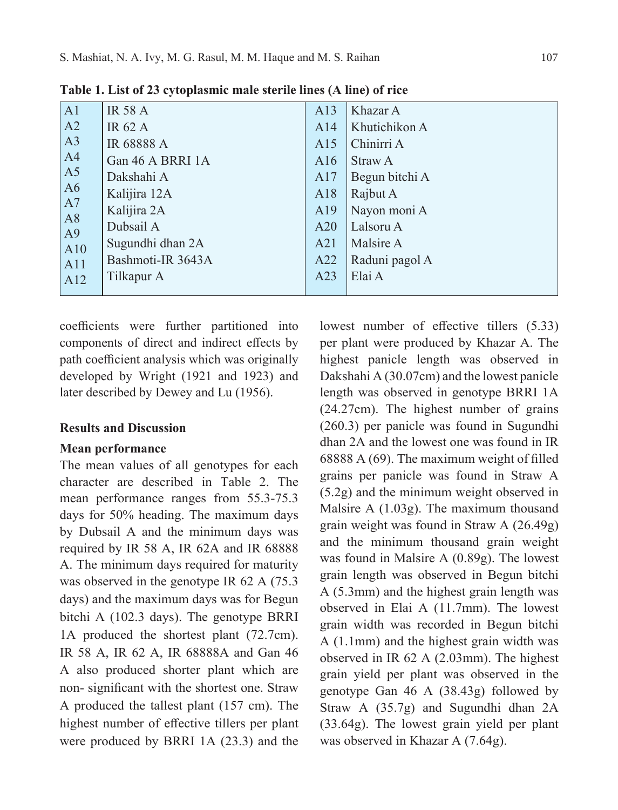| A1                   | <b>IR 58 A</b>    | A13 | Khazar A       |
|----------------------|-------------------|-----|----------------|
| A2                   | <b>IR 62 A</b>    | A14 | Khutichikon A  |
| A3                   | IR 68888 A        | A15 | Chinirri A     |
| A4                   | Gan 46 A BRRI 1A  | A16 | Straw A        |
| A5                   | Dakshahi A        | A17 | Begun bitchi A |
| A6                   | Kalijira 12A      | A18 | Rajbut A       |
| A7                   | Kalijira 2A       | A19 | Nayon moni A   |
| A8<br>A <sup>9</sup> | Dubsail A         | A20 | Lalsoru A      |
| A10                  | Sugundhi dhan 2A  | A21 | Malsire A      |
| A11                  | Bashmoti-IR 3643A | A22 | Raduni pagol A |
| A12                  | Tilkapur A        | A23 | Elai A         |
|                      |                   |     |                |

**Table 1. List of 23 cytoplasmic male sterile lines (A line) of rice**

coefficients were further partitioned into components of direct and indirect effects by path coefficient analysis which was originally developed by Wright (1921 and 1923) and later described by Dewey and Lu (1956).

## **Results and Discussion**

#### **Mean performance**

The mean values of all genotypes for each character are described in Table 2. The mean performance ranges from 55.3-75.3 days for 50% heading. The maximum days by Dubsail A and the minimum days was required by IR 58 A, IR 62A and IR 68888 A. The minimum days required for maturity was observed in the genotype IR 62 A (75.3) days) and the maximum days was for Begun bitchi A (102.3 days). The genotype BRRI 1A produced the shortest plant (72.7cm). IR 58 A, IR 62 A, IR 68888A and Gan 46 A also produced shorter plant which are non- significant with the shortest one. Straw A produced the tallest plant (157 cm). The highest number of effective tillers per plant were produced by BRRI 1A (23.3) and the

lowest number of effective tillers (5.33) per plant were produced by Khazar A. The highest panicle length was observed in Dakshahi A (30.07cm) and the lowest panicle length was observed in genotype BRRI 1A (24.27cm). The highest number of grains (260.3) per panicle was found in Sugundhi dhan 2A and the lowest one was found in IR 68888 A (69). The maximum weight of filled grains per panicle was found in Straw A (5.2g) and the minimum weight observed in Malsire A (1.03g). The maximum thousand grain weight was found in Straw A (26.49g) and the minimum thousand grain weight was found in Malsire A (0.89g). The lowest grain length was observed in Begun bitchi A (5.3mm) and the highest grain length was observed in Elai A (11.7mm). The lowest grain width was recorded in Begun bitchi A (1.1mm) and the highest grain width was observed in IR 62 A (2.03mm). The highest grain yield per plant was observed in the genotype Gan 46 A (38.43g) followed by Straw A (35.7g) and Sugundhi dhan 2A (33.64g). The lowest grain yield per plant was observed in Khazar A (7.64g).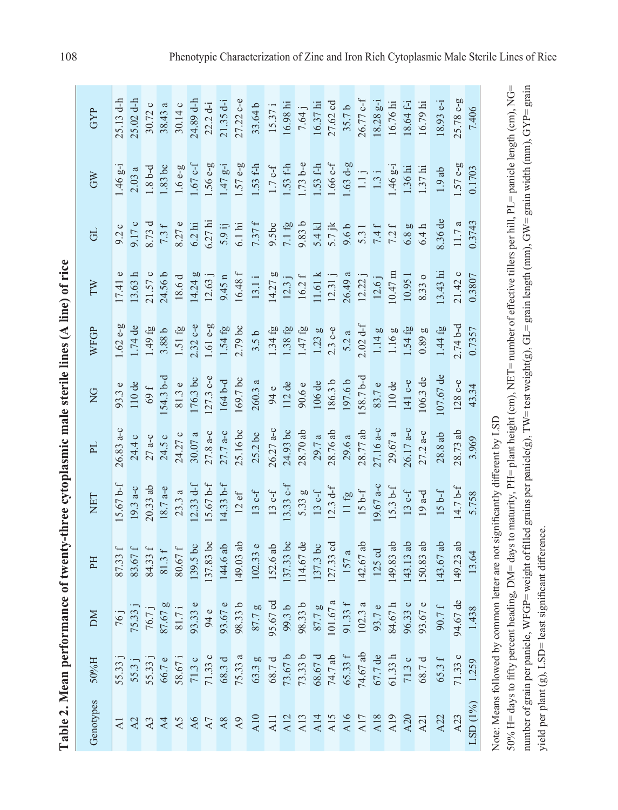| Č<br>S<br>S<br>S<br>S<br>S<br>S<br>S<br>S<br><br><br><br><br><br><br><br><br><br><br><br><br><br><br><br><br><br>$\frac{1}{2}$ |
|--------------------------------------------------------------------------------------------------------------------------------|
| i<br>֕                                                                                                                         |
| ֘֒                                                                                                                             |
| i                                                                                                                              |
| į<br>I<br>č<br><                                                                                                               |
| ann no m                                                                                                                       |
| Ì                                                                                                                              |
| ĺ                                                                                                                              |
| I<br>$\vdots$                                                                                                                  |
| $\frac{1}{2}$                                                                                                                  |
| ę<br>۔<br>ہ                                                                                                                    |
| $\sim$ 2.0 m/s<br>I                                                                                                            |
| .<br>.<br>.<br>֚֘֝<br>is an and<br>ĺ                                                                                           |
| <b>N</b><br>l<br>$\ddot{ }$<br>$\epsilon$<br>i                                                                                 |
| .ble                                                                                                                           |

| Genotypes        | 50%H     | ΣÑ                          | H           | <b>TEN</b>  | 已           | $\overline{C}$ | WFGP             | TW                  | G                  | GW                                      | GYP                  |
|------------------|----------|-----------------------------|-------------|-------------|-------------|----------------|------------------|---------------------|--------------------|-----------------------------------------|----------------------|
| $\overline{A}$   | 55.33    | 76 j                        | 87.33 f     | $5.67 b-f$  | $26.83 a-c$ | 93.3 e         | $1.62e-g$        | $\circ$<br>17.41    | $\circ$<br>9.2     | $1.46 g-i$                              | 25.13 d-h            |
| $\lambda$ 2      | 55.3     |                             | 83.67 f     | $19.3 a-c$  | 24.4c       | $110$ de       | $1.74$ de        | 13.63 h             | 9.17 c             | 2.03a                                   | $25.02 d-h$          |
| A <sub>3</sub>   | 55.33    | 75.33 j<br>76.7 j           | 84.33 f     | $20.33$ ab  | $27$ a-c    | 69 f           | $1.49$ fg        | 21.57 c             | 8.73 d             | $1.8b-d$                                | 30.72c               |
| $\overline{A}$   | 66.7 e   | go<br>87.67                 | 81.3 f      | $18.7 a-e$  | 24.5 c      | 54.3 b-d       | 3.88 b           | 24.56 b             | 7.3 f              | $1.83$ bc                               | 38.43a               |
| $\Delta$ 5       | 58.67 i  | 81.7                        | 80.67 f     | 23.3a       | 24.27 c     | 81.3 e         | 1.51 fg          | 18.6 d              | 8.27e              | $1.6e-g$                                | 30.14c               |
| A6               | 71.3c    | $\circ$<br>93.33            | $139.5$ bc  | $2.33 d-f$  | 30.07a      | $176.3$ bc     | $2.32$ c-e       | 14.24 g             | $6.2$ hi           | $1.67 c-f$                              | 24.89 d-h            |
| $\Delta 7$       | 71.33 c  | 94e                         | $137.83$ bc | $15.67 b-f$ | $27.8 a-c$  | $127.3$ c-e    | $1.61e-g$        | 12.63j              | 6.27 hi            | 1.56 e-g                                | $22.2 d-i$           |
| A8               | 68.3 d   | $\circ$<br>93.67            | 144.6 ab    | $14.33 b-f$ | 27.7 а-с    | 164 b-d        | 1.54fg           | 9.45 n              | 5.9 ij             | $1.47 g-i$                              | $21.35 d-i$          |
| $\mathsf{A}9$    | 75.33 a  | $\mathbf{a}$<br>98.33       | $149.03$ ab | 12ef        | 25.16 bc    | $169.7$ bc     | $2.79$ bc        | $16.48\ \mathrm{f}$ | $6.1\,\mathrm{hi}$ | $1.57e-g$                               | 27.22 с-е            |
| A10              | 63.3 g   |                             | 102.33e     | 13 c-f      | $25.2$ bc   | 260.3a         | 3.5 <sub>b</sub> | 13.1 i              | 7.37 f             | $1.53f-h$                               | 33.64 b              |
| $\Lambda11$      | 68.7 d   | 87.7 g<br>95.67 cd          | 152.6 ab    | $13c-f$     | $26.27 a-c$ | 94e            | 1.34fg           | 14.27 g             | 9.5bc              | $1.7 c-f$                               | 15.37 i              |
| A12              | 73.67 b  | 99.3 b                      | 137.33 bc   | $13.33c-f$  | 24.93 bc    | $112$ de       | 1.38 fg          | 12.3j               | $7.1$ fg           | $1.53f-h$                               | $16.98\,\mathrm{hi}$ |
| A13              | 73.33 b  | $\mathbf{a}$<br>98.33       | $114.67$ de | 5.33 g      | 28.70ab     | 90.6 e         | 1.47fg           | 16.2 f              | 9.83 b             | $1.73$ b-e                              | 7.64 ј               |
| A14              | 68.67 d  | <b>dd</b><br>87.7           | 137.3 bc    | $13$ c-f    | 29.7 a      | 106de          | 1.23g            | 11.61 k             | 5.4 kl             | $1.53f-h$                               | 16.37 hi             |
| Al5              | 74.7 ab  | $101.67\,\mathrm{a}$        | $127.33$ cd | $12.3 d-f$  | 28.76 ab    | 186.3 b        | $2.3$ c-e        | 12.31j              | $5.7$ jk           | $1.66c-f$                               | 27.62 cd             |
| A16              | 65.33 f  | 91.33 f                     | 157 a       | 11 fg       | 29.6a       | 197.6b         | 5.2a             | 26.49a              | 9.6 <sub>b</sub>   | $1.63 d-g$                              | 35.7b                |
| AI7              | 74.67 ab | a<br>102.3                  | 142.67 ab   | $15 b-f$    | 28.77 ab    | 58.7 b-d       | $2.02 d-f$       | 12.22j              | 5.31               | $\begin{array}{c} 1.1 \, j \end{array}$ | 26.77 c-f            |
| A18              | 67.7 de  | $\ddot{\mathbf{0}}$<br>93.7 | 125 cd      | 19.67 a-c   | $27.16a-c$  | 83.7 e         | 1.14g            | 12.6j               | 7.4f               | 1.3i                                    | $18.28$ g-i          |
| A19              | 61.33h   | 84.67 h                     | 149.83 ab   | $15.3 b-f$  | 29.67 a     | $110$ de       | 1.16g            | $10.47 \text{ m}$   | 7.2 f              | $1.46 g-i$                              | 16.76 hi             |
| A20              | 71.3c    | $\circ$<br>96.33            | 143.13 ab   | 13 c-f      | 26.17 a-c   | 141 с-е        | $1.54$ fg        | 10.951              | 6.8 g              | $1.36$ hi                               | 18.64 f-i            |
| A21              | 68.7 d   | $\circ$<br>93.67            | 50.83 ab    | $19a-d$     | $27.2$ a-c  | 106.3de        | 0.89g            | 8.330               | 6.4h               | $1.37$ hi                               | 16.79 hi             |
| A22              | 65.3 f   | 90.7                        | 143.67 ab   | $15 b-f$    | 28.8 ab     | $107.67$ de    | 1.44fg           | 13.43 hi            | 8.36 de            | 1.9ab                                   | $18.93e-i$           |
| A <sub>2</sub> 3 | 71.33c   | 94.67                       | 149.23 ab   | $14.7 b-f$  | $28.73$ ab  | 128 с-е        | $2.74b-d$        | 21.42c              | $11.7a$            | $1.57e-g$                               | 25.78 c-g            |
| $LSD(1\%)$       | 1.259    | 1.438                       | 13.64       | 5.758       | 3.969       | 43.34          | 0.7357           | 0.3807              | 0.3743             | 0.1703                                  | 7.406                |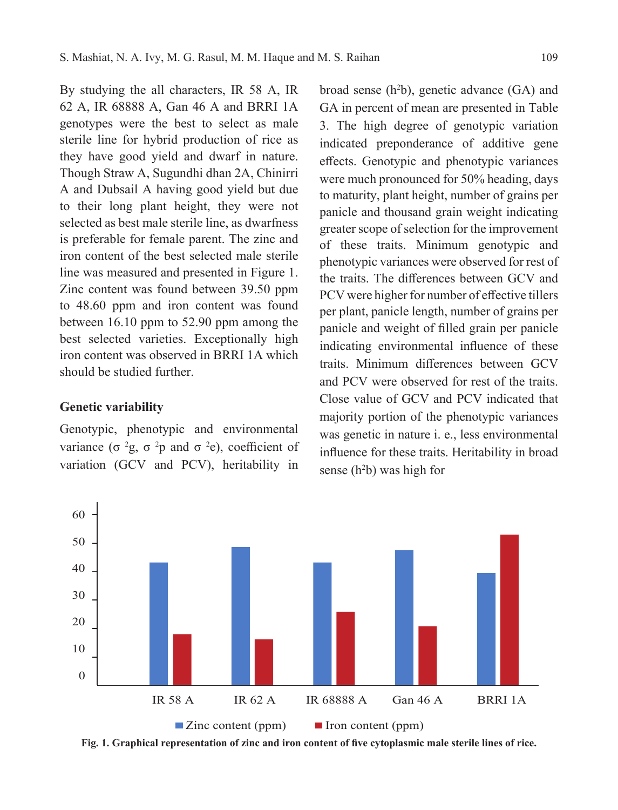By studying the all characters, IR 58 A, IR 62 A, IR 68888 A, Gan 46 A and BRRI 1A genotypes were the best to select as male sterile line for hybrid production of rice as they have good yield and dwarf in nature. Though Straw A, Sugundhi dhan 2A, Chinirri A and Dubsail A having good yield but due to their long plant height, they were not selected as best male sterile line, as dwarfness is preferable for female parent. The zinc and iron content of the best selected male sterile line was measured and presented in Figure 1. Zinc content was found between 39.50 ppm to 48.60 ppm and iron content was found between 16.10 ppm to 52.90 ppm among the best selected varieties. Exceptionally high iron content was observed in BRRI 1A which should be studied further.

## **Genetic variability**

Genotypic, phenotypic and environmental variance (σ<sup>2</sup>g, σ<sup>2</sup>p and σ<sup>2</sup>e), coefficient of variation (GCV and PCV), heritability in

broad sense  $(h<sup>2</sup>b)$ , genetic advance  $(GA)$  and GA in percent of mean are presented in Table 3. The high degree of genotypic variation indicated preponderance of additive gene effects. Genotypic and phenotypic variances were much pronounced for 50% heading, days to maturity, plant height, number of grains per panicle and thousand grain weight indicating greater scope of selection for the improvement of these traits. Minimum genotypic and phenotypic variances were observed for rest of the traits. The differences between GCV and PCV were higher for number of effective tillers per plant, panicle length, number of grains per panicle and weight of filled grain per panicle indicating environmental influence of these traits. Minimum differences between GCV and PCV were observed for rest of the traits. Close value of GCV and PCV indicated that majority portion of the phenotypic variances was genetic in nature i. e., less environmental influence for these traits. Heritability in broad sense (h<sup>2</sup>b) was high for



**Fig. 1. Graphical representation of zinc and iron content of five cytoplasmic male sterile lines of rice.**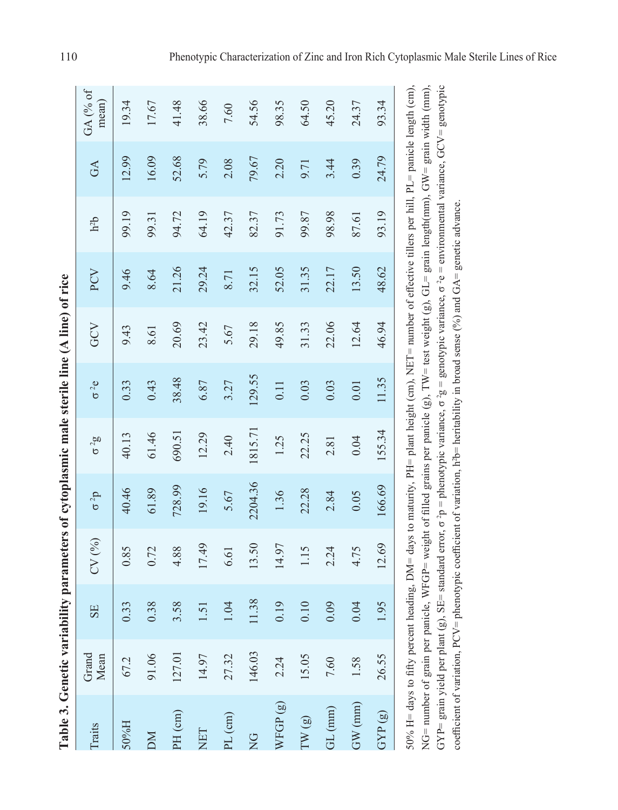| <b>OUR RUS</b><br>l                             |
|-------------------------------------------------|
|                                                 |
| i                                               |
|                                                 |
|                                                 |
|                                                 |
|                                                 |
| i Canada anno 1971                              |
|                                                 |
| l                                               |
| $-20$                                           |
|                                                 |
| <b>THE POST OF</b><br>l                         |
| $\ddot{\phantom{a}}$<br>֖֖֖֖֢ׅ֪ׅ֖֖֚֚֚֚֚֚֚֚֚֬֝֓֕ |
| j                                               |
|                                                 |
| l<br>i<br>E<br>I                                |

| Table 3. Genetic variability parameters of cytoplasmic male sterile line (A line) of rice |               |                         |                                                                                                                                                        |              |              |              |       |       |                  |           |                   |
|-------------------------------------------------------------------------------------------|---------------|-------------------------|--------------------------------------------------------------------------------------------------------------------------------------------------------|--------------|--------------|--------------|-------|-------|------------------|-----------|-------------------|
| Traits                                                                                    | Grand<br>Mean | SE                      | CV(%)                                                                                                                                                  | $\sigma^2 p$ | $\sigma^2 g$ | $\sigma^2$ e | GCV   | PCV   | h <sup>2</sup> b | $G\Delta$ | GA (% of<br>mean) |
| 50%H                                                                                      | 67.2          | 0.33                    | 0.85                                                                                                                                                   | 40.46        | 40.13        | 0.33         | 9.43  | 9.46  | 99.19            | 12.99     | 19.34             |
| M                                                                                         | 91.06         | 0.38                    | 0.72                                                                                                                                                   | 61.89        | 61.46        | 0.43         | 8.61  | 8.64  | 99.31            | 16.09     | 17.67             |
| PH <sub>(cm)</sub>                                                                        | 127.01        | 58<br>$\dot{\tilde{z}}$ | 4.88                                                                                                                                                   | 728.99       | 690.51       | 38.48        | 20.69 | 21.26 | 94.72            | 52.68     | 41.48             |
| <b>NET</b>                                                                                | 14.97         | 1.51                    | 17.49                                                                                                                                                  | 19.16        | 12.29        | 6.87         | 23.42 | 29.24 | 64.19            | 5.79      | 38.66             |
| PL (cm)                                                                                   | 27.32         | 1.04                    | 6.61                                                                                                                                                   | 5.67         | 2.40         | 3.27         | 5.67  | 8.71  | 42.37            | 2.08      | 7.60              |
| $\frac{C}{Z}$                                                                             | 146.03        | 38                      | 13.50                                                                                                                                                  | 2204.36      | 1815.71      | 129.55       | 29.18 | 32.15 | 82.37            | 79.67     | 54.56             |
| WFGP(g)                                                                                   | 2.24          | 0.19                    | 14.97                                                                                                                                                  | 1.36         | 1.25         | 0.11         | 49.85 | 52.05 | 91.73            | 2.20      | 98.35             |
| TW(g)                                                                                     | 15.05         | 0.10                    | 1.15                                                                                                                                                   | 22.28        | 22.25        | 0.03         | 31.33 | 31.35 | 99.87            | 9.71      | 64.50             |
| GL(mm)                                                                                    | 7.60          | $\overline{0}$          | 2.24                                                                                                                                                   | 2.84         | 2.81         | 0.03         | 22.06 | 22.17 | 98.98            | 3.44      | 45.20             |
| GW (mm)                                                                                   | 1.58          | 0.04                    | 4.75                                                                                                                                                   | 0.05         | 0.04         | 0.01         | 12.64 | 13.50 | 87.61            | 0.39      | 24.37             |
| GYP(g)                                                                                    | 26.55         | 95                      | 12.69                                                                                                                                                  | 166.69       | 155.34       | 11.35        | 46.94 | 48.62 | 93.19            | 24.79     | 93.34             |
|                                                                                           |               |                         | 50% H= days to fifty percent heading, DM= days to maturity, PH= plant height (cm), NET= number of effective tillers per hill, PL= panicle length (cm), |              |              |              |       |       |                  |           |                   |

NG= number of grain per panicle, WFGP= weight of filled grains per panicle (g), TW= test weight (g), GL= grain length(mm), GW= grain width (mm), GYP= grain yield per plant (g), SE= standard error, σ<sup>2</sup>p = phenotypic variance, σ<sup>2</sup>g = genotypic variance, σ<sup>2</sup>e = environmental variance, GCV= genotypic

NG= number of grain per panicle, WFGP= weight of filled grains per panicle (g), TW= test weight (g), GL= grain length(mm), GW= grain width (mm), GYP= grain yield per plant (g), SE= standard error,  $\sigma^2 p$  = phenotypic variance,  $\sigma^2 g$  = genotypic variance,  $\sigma^2 e$  = environmental variance, GCV= genotypic

coefficient of variation, PCV= phenotypic coefficient of variation, h<sup>2</sup>b= heritability in broad sense (%) and GA= genetic advance.

coefficient of variation, PCV= phenotypic coefficient of variation, h<sup>2</sup>b= heritability in broad sense (%) and GA= genetic advance.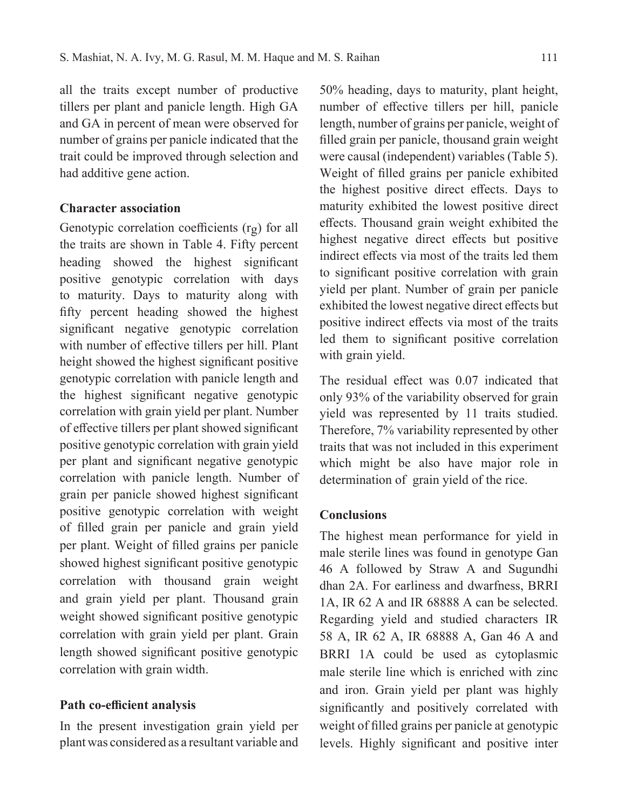all the traits except number of productive tillers per plant and panicle length. High GA and GA in percent of mean were observed for number of grains per panicle indicated that the trait could be improved through selection and had additive gene action.

## **Character association**

Genotypic correlation coefficients (rg) for all the traits are shown in Table 4. Fifty percent heading showed the highest significant positive genotypic correlation with days to maturity. Days to maturity along with fifty percent heading showed the highest significant negative genotypic correlation with number of effective tillers per hill. Plant height showed the highest significant positive genotypic correlation with panicle length and the highest significant negative genotypic correlation with grain yield per plant. Number of effective tillers per plant showed significant positive genotypic correlation with grain yield per plant and significant negative genotypic correlation with panicle length. Number of grain per panicle showed highest significant positive genotypic correlation with weight of filled grain per panicle and grain yield per plant. Weight of filled grains per panicle showed highest significant positive genotypic correlation with thousand grain weight and grain yield per plant. Thousand grain weight showed significant positive genotypic correlation with grain yield per plant. Grain length showed significant positive genotypic correlation with grain width.

#### **Path co-efficient analysis**

In the present investigation grain yield per plant was considered as a resultant variable and 50% heading, days to maturity, plant height, number of effective tillers per hill, panicle length, number of grains per panicle, weight of filled grain per panicle, thousand grain weight were causal (independent) variables (Table 5). Weight of filled grains per panicle exhibited the highest positive direct effects. Days to maturity exhibited the lowest positive direct effects. Thousand grain weight exhibited the highest negative direct effects but positive indirect effects via most of the traits led them to significant positive correlation with grain yield per plant. Number of grain per panicle exhibited the lowest negative direct effects but positive indirect effects via most of the traits led them to significant positive correlation with grain yield.

The residual effect was 0.07 indicated that only 93% of the variability observed for grain yield was represented by 11 traits studied. Therefore, 7% variability represented by other traits that was not included in this experiment which might be also have major role in determination of grain yield of the rice.

## **Conclusions**

The highest mean performance for yield in male sterile lines was found in genotype Gan 46 A followed by Straw A and Sugundhi dhan 2A. For earliness and dwarfness, BRRI 1A, IR 62 A and IR 68888 A can be selected. Regarding yield and studied characters IR 58 A, IR 62 A, IR 68888 A, Gan 46 A and BRRI 1A could be used as cytoplasmic male sterile line which is enriched with zinc and iron. Grain yield per plant was highly significantly and positively correlated with weight of filled grains per panicle at genotypic levels. Highly significant and positive inter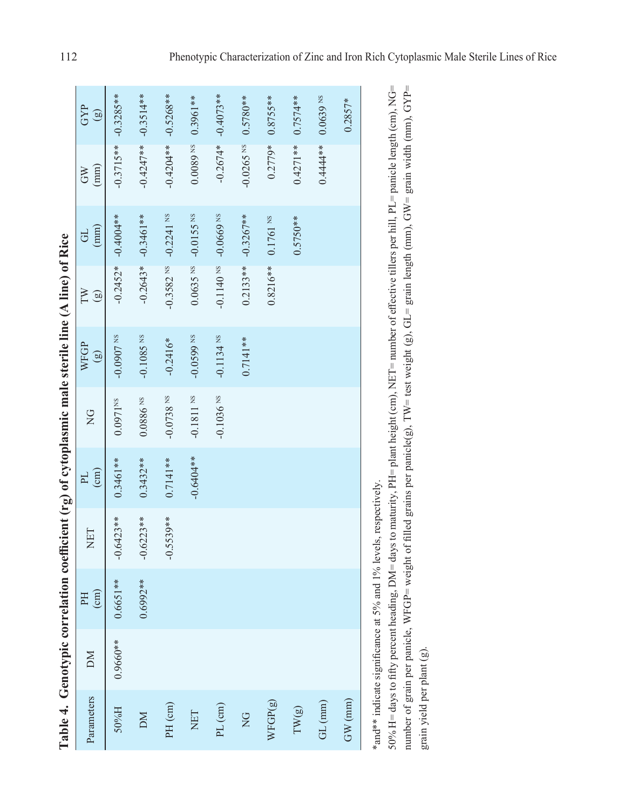| ļ<br>I           |
|------------------|
| í<br>י           |
|                  |
|                  |
| :<br>┋           |
| asmic male steri |
|                  |
| ĺ<br>t           |
|                  |
|                  |
| Ò                |
| <b>NATTICLE</b>  |
|                  |
| l<br>Ì           |

|                         |            | Table 4. Genotypic correlation coefficient (rg) of cytoplasmic male sterile line (A line) of Rice |             |             |                        |                     |                      |                      |                                   |                                    |
|-------------------------|------------|---------------------------------------------------------------------------------------------------|-------------|-------------|------------------------|---------------------|----------------------|----------------------|-----------------------------------|------------------------------------|
| Parameters              | M          | $\text{cm}$ )<br>H                                                                                | NET         | (cm)<br>PL  | $\frac{G}{K}$          | WFGP<br>$\circledg$ | TW<br>$\circledcirc$ | (mm)<br>5            | (mm)<br>$\widetilde{\varepsilon}$ | GYP<br>$\left( \frac{g}{2}\right)$ |
| 50%H                    | $0.9660**$ | .6651 **<br>$\circ$                                                                               | $-0.6423**$ | $0.3461**$  | $0.0971$ <sub>NS</sub> | -0.0907 NS          |                      | $-0.2452* -0.4004**$ |                                   | $-0.3715** -0.3285**$              |
| ЫN                      |            | 1.6992**<br>$\circ$                                                                               | $-0.6223**$ | $0.3432**$  | $0.0886$ $N$           | $-0.1085$ NS        |                      | $-0.2643* -0.3461**$ |                                   | -0.4247****0.3514**                |
| PH <sub>(cm)</sub>      |            |                                                                                                   | $-0.5539**$ | $0.7141**$  | $-0.0738$ NS           | $-0.2416*$          | $-0.3582$ NS         | $-0.2241$ NS         |                                   | $-0.4204** -0.5268**$              |
| NET                     |            |                                                                                                   |             | $-0.6404**$ | $-0.1811$ NS           | $-0.0599$ NS        | $0.0635$ NS          | $-0.0155$ NS         | $0.0089$ NS                       | $0.3961**$                         |
| PL(cm)                  |            |                                                                                                   |             |             | $-0.1036$ NS           | $-0.1134$ NS        | $-0.1140$ NS         | $-0.0669$ NS         |                                   | $-0.2674* -0.4073**$               |
| $\overline{C}$          |            |                                                                                                   |             |             |                        | $0.7141**$          | $0.2133**$           | $-0.3267**$          | $-0.0265$ NS                      | $0.5780**$                         |
| $WFGP(\mathrm{g})$      |            |                                                                                                   |             |             |                        |                     | $0.8216**$           | $0.1761$ $^{\rm NS}$ | $0.2779*$                         | $0.8755**$                         |
| $\text{TW}(\mathbf{g})$ |            |                                                                                                   |             |             |                        |                     |                      | $0.5750**$           | $0.4271**$                        | $0.7574**$                         |
| GL(mm)                  |            |                                                                                                   |             |             |                        |                     |                      |                      | $0.4444**$                        | $0.0639$ NS                        |
| GW (mm)                 |            |                                                                                                   |             |             |                        |                     |                      |                      |                                   | $0.2857*$                          |
|                         |            |                                                                                                   |             |             |                        |                     |                      |                      |                                   |                                    |

\*and\*\* indicate significance at 5% and 1% levels, respectively. \*and\*\* indicate significance at 5% and 1% levels, respectively. 50% H= days to fifty percent heading, DM= days to maturity, PH= plant height (cm), NET= number of effective tillers per hill, PL= panicle length (cm), NG= 50% H= days to fifty percent heading, DM= days to maturity, PH= plant height (cm), NET= number of effective tillers per hill, PL= panicle length (cm), NG= number of grain per panicle, WFGP= weight of filled grains per panicle(g), TW= test weight (g), GL= grain length (mm), GW= grain width (mm), GYP= number of grain per panicle, WFGP= weight of filled grains per panicle(g), TW= test weight (g), GL= grain length (mm), GW= grain width (mm), GYP= grain yield per plant (g). grain yield per plant (g).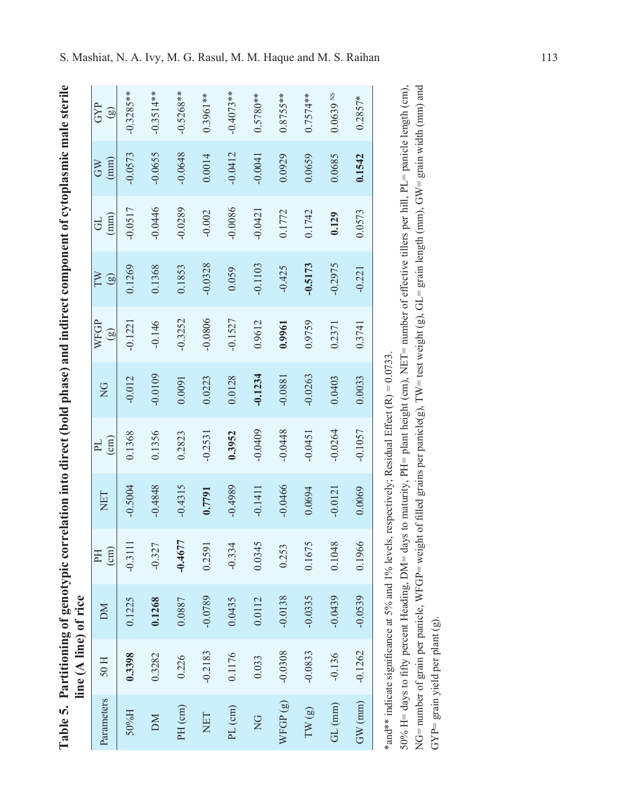|                                 | line (A line) of rice                                               |                       | Table 5. Partitioning of genotypic correlation into direct (bold phase) and indirect component of cytoplasmic male sterile                                                                                                                                                                                                                         |           |                      |               |                     |                     |                     |            |                       |
|---------------------------------|---------------------------------------------------------------------|-----------------------|----------------------------------------------------------------------------------------------------------------------------------------------------------------------------------------------------------------------------------------------------------------------------------------------------------------------------------------------------|-----------|----------------------|---------------|---------------------|---------------------|---------------------|------------|-----------------------|
| Parameters                      | 50H                                                                 | DМ                    | $\text{(cm)}$<br>EH                                                                                                                                                                                                                                                                                                                                | NET       | (cm)<br>$\mathbb{H}$ | $\frac{G}{Z}$ | WFGP<br>$\boxed{8}$ | Ř<br>$\circledcirc$ | $(\text{mm})$<br>GL | (mm)<br>GW | GYP<br>$\circledcirc$ |
| 50%H                            | 0.3398                                                              | 225<br>0.1            | $-0.3111$                                                                                                                                                                                                                                                                                                                                          | $-0.5004$ | 0.1368               | $-0.012$      | $-0.1221$           | 0.1269              | $-0.0517$           | $-0.0573$  | $-0.3285**$           |
| DМ                              | 0.3282                                                              | 268<br>$\overline{0}$ | $-0.327$                                                                                                                                                                                                                                                                                                                                           | $-0.4848$ | 0.1356               | $-0.0109$     | $-0.146$            | 0.1368              | $-0.0446$           | $-0.0655$  | $-0.3514**$           |
| PH <sub>(cm)</sub>              | 0.226                                                               | 1887<br>0.0           | $-0.4677$                                                                                                                                                                                                                                                                                                                                          | $-0.4315$ | 0.2823               | 0.0091        | $-0.3252$           | 0.1853              | $-0.0289$           | $-0.0648$  | $-0.5268**$           |
| <b>NET</b>                      | $-0.2183$                                                           | $-0.0789$             | 0.2591                                                                                                                                                                                                                                                                                                                                             | 0.7791    | $-0.2531$            | 0.0223        | $-0.0806$           | $-0.0328$           | $-0.002$            | 0.0014     | 0.3961**              |
| PL (cm)                         | 0.1176                                                              | 0.0435                | $-0.334$                                                                                                                                                                                                                                                                                                                                           | $-0.4989$ | 0.3952               | 0.0128        | $-0.1527$           | 0.059               | $-0.0086$           | $-0.0412$  | $-0.4073**$           |
| $\overline{C}$                  | 0.033                                                               | 0.0112                | 0.0345                                                                                                                                                                                                                                                                                                                                             | $-0.1411$ | $-0.0409$            | $-0.1234$     | 0.9612              | $-0.1103$           | $-0.0421$           | $-0.0041$  | $0.5780**$            |
| WFGP <sub>(g)</sub>             | $-0.0308$                                                           | $-0.0138$             | 0.253                                                                                                                                                                                                                                                                                                                                              | $-0.0466$ | $-0.0448$            | $-0.0881$     | 0.9961              | $-0.425$            | 0.1772              | 0.0929     | $0.8755**$            |
| TW(g)                           | $-0.0833$                                                           | $-0.0335$             | 0.1675                                                                                                                                                                                                                                                                                                                                             | 0.0694    | $-0.0451$            | $-0.0263$     | 0.9759              | $-0.5173$           | 0.1742              | 0.0659     | $0.7574**$            |
| GL(mm)                          | $-0.136$                                                            | $-0.0439$             | 0.1048                                                                                                                                                                                                                                                                                                                                             | $-0.0121$ | $-0.0264$            | 0.0403        | 0.2371              | $-0.2975$           | 0.129               | 0.0685     | $0.0639$ NS           |
| $GW$ (mm)                       | $-0.1262$                                                           | $-0.0539$             | 0.1966                                                                                                                                                                                                                                                                                                                                             | 0.0069    | $-0.1057$            | 0.0033        | 0.3741              | $-0.221$            | 0.0573              | 0.1542     | $0.2857*$             |
|                                 | $NG =$ number of grain per panic<br>*and** indicate significance at |                       | le, WFGP= weight of filled grains per panicle(g), TW= test weight (g), GL= grain length (mm), GW= grain width (mm) and<br>50% H= days to fifty percent Heading, DM= days to maturity, PH= plant height (cm), NET= number of effective tillers per hill, PL= panicle length (cm),<br>5% and 1% levels, respectively; Residual Effect $(R) = 0.0733$ |           |                      |               |                     |                     |                     |            |                       |
| GYP= grain yield per plant (g). |                                                                     |                       |                                                                                                                                                                                                                                                                                                                                                    |           |                      |               |                     |                     |                     |            |                       |